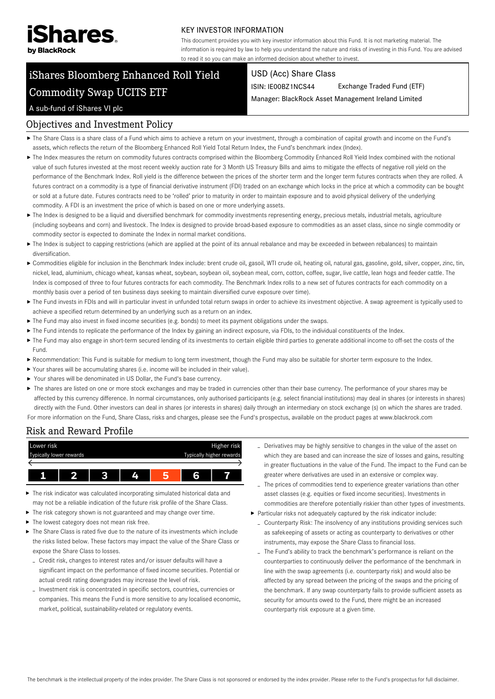

#### KEY INVESTOR INFORMATION

This document provides you with key investor information about this Fund. It is not marketing material. The information is required by law to help you understand the nature and risks of investing in this Fund. You are advised to read it so you can make an informed decision about whether to invest.

# iShares Bloomberg Enhanced Roll Yield Commodity Swap UCITS ETF

#### USD (Acc) Share Class

ISIN: IE00BZ1NCS44 Exchange Traded Fund (ETF)

Manager: BlackRock Asset Management Ireland Limited

#### A sub-fund of iShares VI plc

### Objectives and Investment Policy

- The Share Class is a share class of a Fund which aims to achieve a return on your investment, through a combination of capital growth and income on the Fund's assets, which reflects the return of the Bloomberg Enhanced Roll Yield Total Return Index, the Fund's benchmark index (Index).
- ▶ The Index measures the return on commodity futures contracts comprised within the Bloomberg Commodity Enhanced Roll Yield Index combined with the notional value of such futures invested at the most recent weekly auction rate for 3 Month US Treasury Bills and aims to mitigate the effects of negative roll yield on the performance of the Benchmark Index. Roll yield is the difference between the prices of the shorter term and the longer term futures contracts when they are rolled. A futures contract on a commodity is a type of financial derivative instrument (FDI) traded on an exchange which locks in the price at which a commodity can be bought or sold at a future date. Futures contracts need to be 'rolled' prior to maturity in order to maintain exposure and to avoid physical delivery of the underlying commodity. A FDI is an investment the price of which is based on one or more underlying assets.
- ▶ The Index is designed to be a liquid and diversified benchmark for commodity investments representing energy, precious metals, industrial metals, agriculture (including soybeans and corn) and livestock. The Index is designed to provide broad-based exposure to commodities as an asset class, since no single commodity or commodity sector is expected to dominate the Index in normal market conditions.
- ▶ The Index is subject to capping restrictions (which are applied at the point of its annual rebalance and may be exceeded in between rebalances) to maintain diversification.
- ► Commodities eligible for inclusion in the Benchmark Index include: brent crude oil, gasoil, WTI crude oil, heating oil, natural gas, gasoline, gold, silver, copper, zinc, tin, nickel, lead, aluminium, chicago wheat, kansas wheat, soybean, soybean oil, soybean meal, corn, cotton, coffee, sugar, live cattle, lean hogs and feeder cattle. The Index is composed of three to four futures contracts for each commodity. The Benchmark Index rolls to a new set of futures contracts for each commodity on a monthly basis over a period of ten business days seeking to maintain diversified curve exposure over time).
- ▶ The Fund invests in FDIs and will in particular invest in unfunded total return swaps in order to achieve its investment objective. A swap agreement is typically used to achieve a specified return determined by an underlying such as a return on an index.
- The Fund may also invest in fixed income securities (e.g. bonds) to meet its payment obligations under the swaps.
- ▶ The Fund intends to replicate the performance of the Index by gaining an indirect exposure, via FDIs, to the individual constituents of the Index.
- ▶ The Fund may also engage in short-term secured lending of its investments to certain eligible third parties to generate additional income to off-set the costs of the Fund.
- Recommendation: This Fund is suitable for medium to long term investment, though the Fund may also be suitable for shorter term exposure to the Index.
- Your shares will be accumulating shares (i.e. income will be included in their value).
- Your shares will be denominated in US Dollar, the Fund's base currency.
- ▶ The shares are listed on one or more stock exchanges and may be traded in currencies other than their base currency. The performance of your shares may be affected by this currency difference. In normal circumstances, only authorised participants (e.g. select financial institutions) may deal in shares (or interests in shares) directly with the Fund. Other investors can deal in shares (or interests in shares) daily through an intermediary on stock exchange (s) on which the shares are traded. For more information on the Fund, Share Class, risks and charges, please see the Fund's prospectus, available on the product pages at www.blackrock.com

# Risk and Reward Profile



- The risk indicator was calculated incorporating simulated historical data and may not be a reliable indication of the future risk profile of the Share Class.
- The risk category shown is not guaranteed and may change over time.
- ▶ The lowest category does not mean risk free.
- The Share Class is rated five due to the nature of its investments which include the risks listed below. These factors may impact the value of the Share Class or expose the Share Class to losses.
	- Credit risk, changes to interest rates and/or issuer defaults will have a significant impact on the performance of fixed income securities. Potential or actual credit rating downgrades may increase the level of risk.
	- Investment risk is concentrated in specific sectors, countries, currencies or companies. This means the Fund is more sensitive to any localised economic, market, political, sustainability-related or regulatory events.
- Derivatives may be highly sensitive to changes in the value of the asset on which they are based and can increase the size of losses and gains, resulting in greater fluctuations in the value of the Fund. The impact to the Fund can be greater where derivatives are used in an extensive or complex way.
- The prices of commodities tend to experience greater variations than other asset classes (e.g. equities or fixed income securities). Investments in commodities are therefore potentially riskier than other types of investments. Particular risks not adequately captured by the risk indicator include:
- Counterparty Risk: The insolvency of any institutions providing services such as safekeeping of assets or acting as counterparty to derivatives or other instruments, may expose the Share Class to financial loss.
- The Fund's ability to track the benchmark's performance is reliant on the counterparties to continuously deliver the performance of the benchmark in line with the swap agreements (i.e. counterparty risk) and would also be affected by any spread between the pricing of the swaps and the pricing of the benchmark. If any swap counterparty fails to provide sufficient assets as security for amounts owed to the Fund, there might be an increased counterparty risk exposure at a given time.